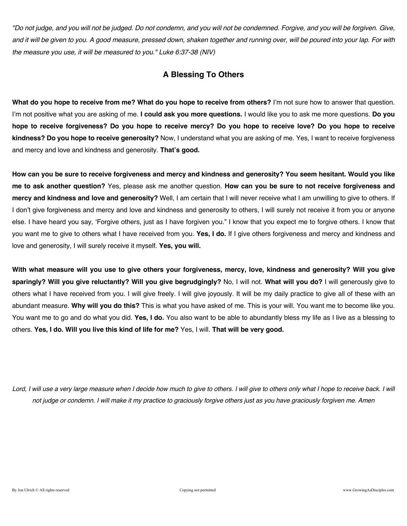*"Do not judge, and you will not be judged. Do not condemn, and you will not be condemned. Forgive, and you will be forgiven. Give, and it will be given to you. A good measure, pressed down, shaken together and running over, will be poured into your lap. For with the measure you use, it will be measured to you." Luke 6:37-38 (NIV)* 

### **A Blessing To Others**

**What do you hope to receive from me? What do you hope to receive from others?** I'm not sure how to answer that question. I'm not positive what you are asking of me. **I could ask you more questions.** I would like you to ask me more questions. **Do you hope to receive forgiveness? Do you hope to receive mercy? Do you hope to receive love? Do you hope to receive kindness? Do you hope to receive generosity?** Now, I understand what you are asking of me. Yes, I want to receive forgiveness and mercy and love and kindness and generosity. **That's good.**

**How can you be sure to receive forgiveness and mercy and kindness and generosity? You seem hesitant. Would you like me to ask another question?** Yes, please ask me another question. **How can you be sure to not receive forgiveness and mercy and kindness and love and generosity?** Well, I am certain that I will never receive what I am unwilling to give to others. If I don't give forgiveness and mercy and love and kindness and generosity to others, I will surely not receive it from you or anyone else. I have heard you say, 'Forgive others, just as I have forgiven you." I know that you expect me to forgive others. I know that you want me to give to others what I have received from you. **Yes, I do.** If I give others forgiveness and mercy and kindness and love and generosity, I will surely receive it myself. **Yes, you will.**

**With what measure will you use to give others your forgiveness, mercy, love, kindness and generosity? Will you give sparingly? Will you give reluctantly? Will you give begrudgingly?** No, I will not. **What will you do?** I will generously give to others what I have received from you. I will give freely. I will give joyously. It will be my daily practice to give all of these with an abundant measure. **Why will you do this?** This is what you have asked of me. This is your will. You want me to become like you. You want me to go and do what you did. **Yes, I do.** You also want to be able to abundantly bless my life as I live as a blessing to others. **Yes, I do. Will you live this kind of life for me?** Yes, I will. **That will be very good.**

Lord, I will use a very large measure when I decide how much to give to others. I will give to others only what I hope to receive back. I will *not judge or condemn. I will make it my practice to graciously forgive others just as you have graciously forgiven me. Amen*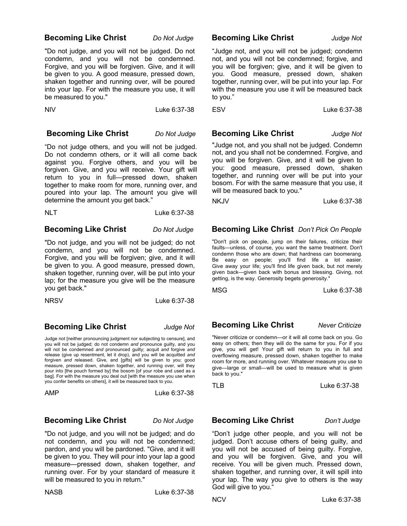### **Becoming Like Christ** *Do Not Judge*

"Do not judge, and you will not be judged. Do not condemn, and you will not be condemned. Forgive, and you will be forgiven. Give, and it will be given to you. A good measure, pressed down, shaken together and running over, will be poured into your lap. For with the measure you use, it will be measured to you."

NIV Luke 6:37-38

### **Becoming Like Christ** *Do Not Judge*

"Do not judge others, and you will not be judged. Do not condemn others, or it will all come back against you. Forgive others, and you will be forgiven. Give, and you will receive. Your gift will return to you in full—pressed down, shaken together to make room for more, running over, and poured into your lap. The amount you give will determine the amount you get back."

NLT Luke 6:37-38

### **Becoming Like Christ** *Do Not Judge*

"Do not judge, and you will not be judged; do not condemn, and you will not be condemned. Forgive, and you will be forgiven; give, and it will be given to you. A good measure, pressed down, shaken together, running over, will be put into your lap; for the measure you give will be the measure you get back."

NRSV Luke 6:37-38

### **Becoming Like Christ** *Judge Not*

Judge not [neither pronouncing judgment nor subjecting to censure], and you will not be judged; do not condemn *and* pronounce guilty, and you will not be condemned *and* pronounced guilty; acquit *and* forgive *and* release (give up resentment, let it drop), and you will be acquitted *and* forgiven *and* released. Give, and [gifts] will be given to you; good measure, pressed down, shaken together, and running over, will they pour into [the pouch formed by] the bosom [of your robe and used as a bag]. For with the measure you deal out [with the measure you use when you confer benefits on others], it will be measured back to you.

AMPLuke 6:37-38

### **Becoming Like Christ** *Do Not Judge*

"Do not judge, and you will not be judged; and do not condemn, and you will not be condemned; pardon, and you will be pardoned. "Give, and it will be given to you. They will pour into your lap a good measure—pressed down, shaken together, *and* running over. For by your standard of measure it will be measured to you in return."

NASBLuke 6:37-38

### **Becoming Like Christ** *Judge Not*

"Judge not, and you will not be judged; condemn not, and you will not be condemned; forgive, and you will be forgiven; give, and it will be given to you. Good measure, pressed down, shaken together, running over, will be put into your lap. For with the measure you use it will be measured back to you."

ESV Luke 6:37-38

### **Becoming Like Christ** *Judge Not*

"Judge not, and you shall not be judged. Condemn not, and you shall not be condemned. Forgive, and you will be forgiven. Give, and it will be given to you: good measure, pressed down, shaken together, and running over will be put into your bosom. For with the same measure that you use, it will be measured back to you."

NKJV Luke 6:37-38

### **Becoming Like Christ** *Don't Pick On People*

"Don't pick on people, jump on their failures, criticize their faults—unless, of course, you want the same treatment. Don't condemn those who are down; that hardness can boomerang. Be easy on people; you'll find life a lot easier. Give away your life; you'll find life given back, but not merely given back—given back with bonus and blessing. Giving, not getting, is the way. Generosity begets generosity."

MSG Luke 6:37-38

### **Becoming Like Christ** *Never Criticize*

"Never criticize or condemn—or it will all come back on you. Go easy on others; then they will do the same for you. For if you give, you will get! Your gift will return to you in full and overflowing measure, pressed down, shaken together to make room for more, and running over. Whatever measure you use to give—large or small—will be used to measure what is given back to you."

TLBLuke 6:37-38

### **Becoming Like Christ** *Don't Judge*

"Don't judge other people, and you will not be judged. Don't accuse others of being guilty, and you will not be accused of being guilty. Forgive, and you will be forgiven. Give, and you will receive. You will be given much. Pressed down, shaken together, and running over, it will spill into your lap. The way you give to others is the way God will give to you."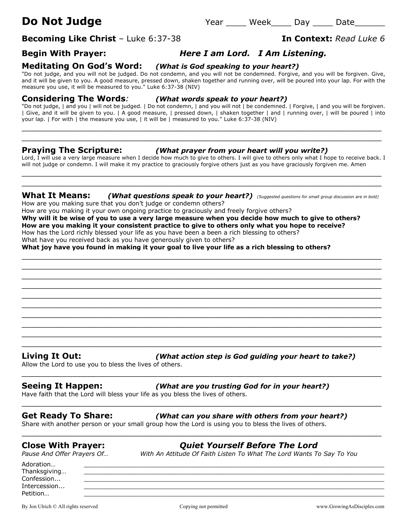# **Do Not Judge** Year \_\_\_\_ Week\_\_\_\_ Day \_\_\_\_ Date\_\_\_\_\_\_

**Becoming Like Christ** – Luke 6:37-38 **In Context:** *Read Luke 6*

# **Begin With Prayer:** *Here I am Lord. I Am Listening.*

# **Meditating On God's Word:** *(What is God speaking to your heart?)*

"Do not judge, and you will not be judged. Do not condemn, and you will not be condemned. Forgive, and you will be forgiven. Give, and it will be given to you. A good measure, pressed down, shaken together and running over, will be poured into your lap. For with the measure you use, it will be measured to you." Luke 6:37-38 (NIV)

**Considering The Words***: (What words speak to your heart?)*

"Do not judge, | and you | will not be judged. | Do not condemn, | and you will not | be condemned. | Forgive, | and you will be forgiven. | Give, and it will be given to you. | A good measure, | pressed down, | shaken together | and | running over, | will be poured | into your lap. | For with | the measure you use, | it will be | measured to you." Luke 6:37-38 (NIV)

 $\_$  , and the contribution of the contribution of  $\mathcal{L}$  , and  $\mathcal{L}$  , and  $\mathcal{L}$  , and  $\mathcal{L}$  , and  $\mathcal{L}$  , and  $\mathcal{L}$  , and  $\mathcal{L}$  , and  $\mathcal{L}$  , and  $\mathcal{L}$  , and  $\mathcal{L}$  , and  $\mathcal{L}$  , and  $\mathcal{L$ \_\_\_\_\_\_\_\_\_\_\_\_\_\_\_\_\_\_\_\_\_\_\_\_\_\_\_\_\_\_\_\_\_\_\_\_\_\_\_\_\_\_\_\_\_\_\_\_\_\_\_\_\_\_\_\_\_\_\_\_\_\_\_\_\_\_\_\_\_\_\_

### **Praying The Scripture:** *(What prayer from your heart will you write?)*

Lord, I will use a very large measure when I decide how much to give to others. I will give to others only what I hope to receive back. I will not judge or condemn. I will make it my practice to graciously forgive others just as you have graciously forgiven me. Amen

 $\_$  . The contribution of the contribution of  $\mathcal{L}_1$  ,  $\mathcal{L}_2$  ,  $\mathcal{L}_3$  ,  $\mathcal{L}_4$  ,  $\mathcal{L}_5$  ,  $\mathcal{L}_6$  ,  $\mathcal{L}_7$  ,  $\mathcal{L}_8$  ,  $\mathcal{L}_9$  ,  $\mathcal{L}_1$  ,  $\mathcal{L}_2$  ,  $\mathcal{L}_3$  ,  $\mathcal{L}_5$  ,  $\mathcal{L}_6$  ,  $\mathcal{L}_$  $\_$  , and the set of the set of the set of the set of the set of the set of the set of the set of the set of the set of the set of the set of the set of the set of the set of the set of the set of the set of the set of th

### **What It Means:** *(What questions speak to your heart?) (Suggested questions for small group discussion are in bold)*

How are you making sure that you don't judge or condemn others?

How are you making it your own ongoing practice to graciously and freely forgive others? **Why will it be wise of you to use a very large measure when you decide how much to give to others? How are you making it your consistent practice to give to others only what you hope to receive?** How has the Lord richly blessed your life as you have been a been a rich blessing to others? What have you received back as you have generously given to others?

 $\_$  , and the contribution of the contribution of  $\mathcal{L}$  , and  $\mathcal{L}$  , and  $\mathcal{L}$  , and  $\mathcal{L}$  , and  $\mathcal{L}$  , and  $\mathcal{L}$  , and  $\mathcal{L}$  , and  $\mathcal{L}$  , and  $\mathcal{L}$  , and  $\mathcal{L}$  , and  $\mathcal{L}$  , and  $\mathcal{L$ \_\_\_\_\_\_\_\_\_\_\_\_\_\_\_\_\_\_\_\_\_\_\_\_\_\_\_\_\_\_\_\_\_\_\_\_\_\_\_\_\_\_\_\_\_\_\_\_\_\_\_\_\_\_\_\_\_\_\_\_\_\_\_\_\_\_\_\_\_\_\_  $\_$  , and the contribution of the contribution of  $\mathcal{L}$  , and  $\mathcal{L}$  , and  $\mathcal{L}$  , and  $\mathcal{L}$  , and  $\mathcal{L}$  , and  $\mathcal{L}$  , and  $\mathcal{L}$  , and  $\mathcal{L}$  , and  $\mathcal{L}$  , and  $\mathcal{L}$  , and  $\mathcal{L}$  , and  $\mathcal{L$  $\_$  . The contribution of the contribution of  $\mathcal{L}_1$  ,  $\mathcal{L}_2$  ,  $\mathcal{L}_3$  ,  $\mathcal{L}_4$  ,  $\mathcal{L}_5$  ,  $\mathcal{L}_6$  ,  $\mathcal{L}_7$  ,  $\mathcal{L}_8$  ,  $\mathcal{L}_9$  ,  $\mathcal{L}_1$  ,  $\mathcal{L}_2$  ,  $\mathcal{L}_3$  ,  $\mathcal{L}_5$  ,  $\mathcal{L}_6$  ,  $\mathcal{L}_$ \_\_\_\_\_\_\_\_\_\_\_\_\_\_\_\_\_\_\_\_\_\_\_\_\_\_\_\_\_\_\_\_\_\_\_\_\_\_\_\_\_\_\_\_\_\_\_\_\_\_\_\_\_\_\_\_\_\_\_\_\_\_\_\_\_\_\_\_\_\_\_  $\_$  , and the contribution of the contribution of  $\mathcal{L}$  , and  $\mathcal{L}$  , and  $\mathcal{L}$  , and  $\mathcal{L}$  , and  $\mathcal{L}$  , and  $\mathcal{L}$  , and  $\mathcal{L}$  , and  $\mathcal{L}$  , and  $\mathcal{L}$  , and  $\mathcal{L}$  , and  $\mathcal{L}$  , and  $\mathcal{L$  $\_$  , and the contribution of the contribution of  $\mathcal{L}$  , and  $\mathcal{L}$  , and  $\mathcal{L}$  , and  $\mathcal{L}$  , and  $\mathcal{L}$  , and  $\mathcal{L}$  , and  $\mathcal{L}$  , and  $\mathcal{L}$  , and  $\mathcal{L}$  , and  $\mathcal{L}$  , and  $\mathcal{L}$  , and  $\mathcal{L$  $\_$  . The contribution of the contribution of  $\mathcal{L}_1$  ,  $\mathcal{L}_2$  ,  $\mathcal{L}_3$  ,  $\mathcal{L}_4$  ,  $\mathcal{L}_5$  ,  $\mathcal{L}_6$  ,  $\mathcal{L}_7$  ,  $\mathcal{L}_8$  ,  $\mathcal{L}_9$  ,  $\mathcal{L}_1$  ,  $\mathcal{L}_2$  ,  $\mathcal{L}_3$  ,  $\mathcal{L}_5$  ,  $\mathcal{L}_6$  ,  $\mathcal{L}_$ \_\_\_\_\_\_\_\_\_\_\_\_\_\_\_\_\_\_\_\_\_\_\_\_\_\_\_\_\_\_\_\_\_\_\_\_\_\_\_\_\_\_\_\_\_\_\_\_\_\_\_\_\_\_\_\_\_\_\_\_\_\_\_\_\_\_\_\_\_\_\_ \_\_\_\_\_\_\_\_\_\_\_\_\_\_\_\_\_\_\_\_\_\_\_\_\_\_\_\_\_\_\_\_\_\_\_\_\_\_\_\_\_\_\_\_\_\_\_\_\_\_\_\_\_\_\_\_\_\_\_\_\_\_\_\_\_\_\_\_\_\_\_

\_\_\_\_\_\_\_\_\_\_\_\_\_\_\_\_\_\_\_\_\_\_\_\_\_\_\_\_\_\_\_\_\_\_\_\_\_\_\_\_\_\_\_\_\_\_\_\_\_\_\_\_\_\_\_\_\_\_\_\_\_\_\_\_\_\_\_\_\_\_\_

\_\_\_\_\_\_\_\_\_\_\_\_\_\_\_\_\_\_\_\_\_\_\_\_\_\_\_\_\_\_\_\_\_\_\_\_\_\_\_\_\_\_\_\_\_\_\_\_\_\_\_\_\_\_\_\_\_\_\_\_\_\_\_\_\_\_\_\_\_\_\_

\_\_\_\_\_\_\_\_\_\_\_\_\_\_\_\_\_\_\_\_\_\_\_\_\_\_\_\_\_\_\_\_\_\_\_\_\_\_\_\_\_\_\_\_\_\_\_\_\_\_\_\_\_\_\_\_\_\_\_\_\_\_\_\_\_\_\_\_\_\_\_

**What joy have you found in making it your goal to live your life as a rich blessing to others?**

**Living It Out:** *(What action step is God guiding your heart to take?)*

Allow the Lord to use you to bless the lives of others.

**Seeing It Happen:** *(What are you trusting God for in your heart?)*

Have faith that the Lord will bless your life as you bless the lives of others.

### **Get Ready To Share:** *(What can you share with others from your heart?)*

Share with another person or your small group how the Lord is using you to bless the lives of others.

### **Close With Prayer:** *Quiet Yourself Before The Lord*

*Pause And Offer Prayers Of… With An Attitude Of Faith Listen To What The Lord Wants To Say To You*

Adoration… \_\_\_\_\_\_\_\_\_\_\_\_\_\_\_\_\_\_\_\_\_\_\_\_\_\_\_\_\_\_\_\_\_\_\_\_\_\_\_\_\_\_\_\_\_\_\_\_\_\_\_\_\_\_\_\_\_\_\_\_\_\_\_\_\_\_\_\_\_\_\_\_\_\_\_\_\_\_\_ Thanksgiving...  $\textsf{Confession...}\qquad \qquad \underline{\hspace{2.5cm}}$ Intercession... \_\_\_\_\_\_\_\_\_\_\_\_\_\_\_\_\_\_\_\_\_\_\_\_\_\_\_\_\_\_\_\_\_\_\_\_\_\_\_\_\_\_\_\_\_\_\_\_\_\_\_\_\_\_\_\_\_\_\_\_\_\_\_\_\_\_\_\_\_\_\_\_\_\_\_\_\_\_\_ Petition… \_\_\_\_\_\_\_\_\_\_\_\_\_\_\_\_\_\_\_\_\_\_\_\_\_\_\_\_\_\_\_\_\_\_\_\_\_\_\_\_\_\_\_\_\_\_\_\_\_\_\_\_\_\_\_\_\_\_\_\_\_\_\_\_\_\_\_\_\_\_\_\_\_\_\_\_\_\_\_

By Jon Ulrich © All rights reserved compared copying not permitted www.GrowingAsDisciples.com